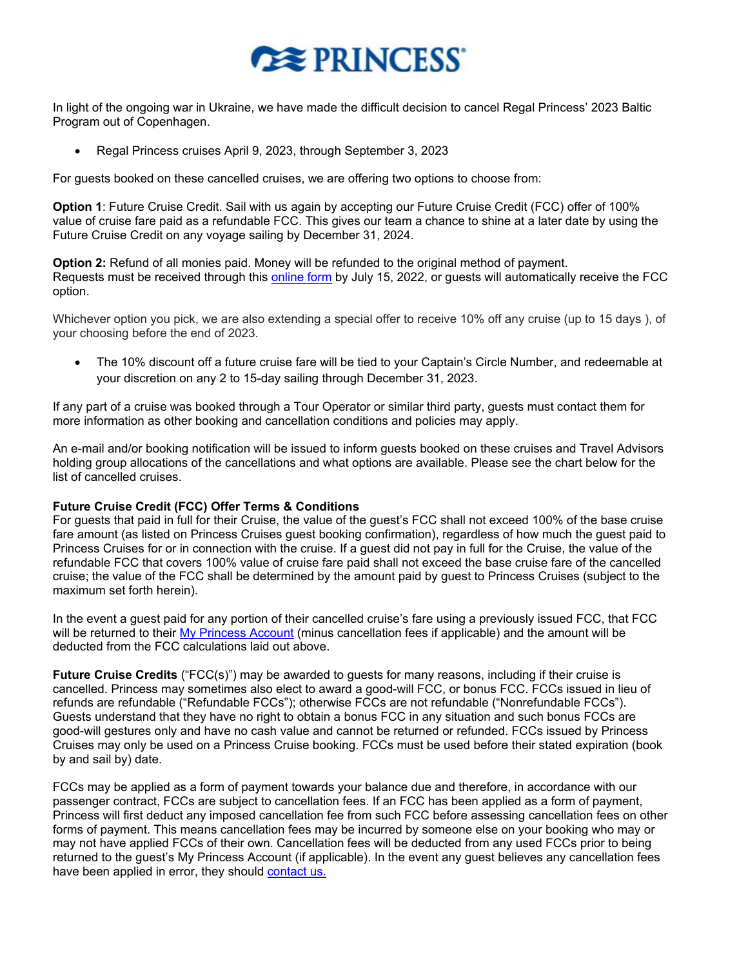## **REPRINCESS**

In light of the ongoing war in Ukraine, we have made the difficult decision to cancel Regal Princess' 2023 Baltic Program out of Copenhagen.

• Regal Princess cruises April 9, 2023, through September 3, 2023

For guests booked on these cancelled cruises, we are offering two options to choose from:

**Option 1**: Future Cruise Credit. Sail with us again by accepting our Future Cruise Credit (FCC) offer of 100% value of cruise fare paid as a refundable FCC. This gives our team a chance to shine at a later date by using the Future Cruise Credit on any voyage sailing by December 31, 2024.

**Option 2:** Refund of all monies paid. Money will be refunded to the original method of payment. Requests must be received through this [online form](https://www.princess.com/pcl/) by July 15, 2022, or guests will automatically receive the FCC option.

Whichever option you pick, we are also extending a special offer to receive 10% off any cruise (up to 15 days ), of your choosing before the end of 2023.

• The 10% discount off a future cruise fare will be tied to your Captain's Circle Number, and redeemable at your discretion on any 2 to 15-day sailing through December 31, 2023.

If any part of a cruise was booked through a Tour Operator or similar third party, guests must contact them for more information as other booking and cancellation conditions and policies may apply.

An e-mail and/or booking notification will be issued to inform guests booked on these cruises and Travel Advisors holding group allocations of the cancellations and what options are available. Please see the chart below for the list of cancelled cruises.

## **Future Cruise Credit (FCC) Offer Terms & Conditions**

For guests that paid in full for their Cruise, the value of the guest's FCC shall not exceed 100% of the base cruise fare amount (as listed on Princess Cruises guest booking confirmation), regardless of how much the guest paid to Princess Cruises for or in connection with the cruise. If a guest did not pay in full for the Cruise, the value of the refundable FCC that covers 100% value of cruise fare paid shall not exceed the base cruise fare of the cancelled cruise; the value of the FCC shall be determined by the amount paid by guest to Princess Cruises (subject to the maximum set forth herein).

In the event a guest paid for any portion of their cancelled cruise's fare using a previously issued FCC, that FCC will be returned to their [My Princess Account](https://book.princess.com/captaincircle/myPrincess.page) (minus cancellation fees if applicable) and the amount will be deducted from the FCC calculations laid out above.

**Future Cruise Credits** ("FCC(s)") may be awarded to guests for many reasons, including if their cruise is cancelled. Princess may sometimes also elect to award a good-will FCC, or bonus FCC. FCCs issued in lieu of refunds are refundable ("Refundable FCCs"); otherwise FCCs are not refundable ("Nonrefundable FCCs"). Guests understand that they have no right to obtain a bonus FCC in any situation and such bonus FCCs are good-will gestures only and have no cash value and cannot be returned or refunded. FCCs issued by Princess Cruises may only be used on a Princess Cruise booking. FCCs must be used before their stated expiration (book by and sail by) date.

FCCs may be applied as a form of payment towards your balance due and therefore, in accordance with our passenger contract, FCCs are subject to cancellation fees. If an FCC has been applied as a form of payment, Princess will first deduct any imposed cancellation fee from such FCC before assessing cancellation fees on other forms of payment. This means cancellation fees may be incurred by someone else on your booking who may or may not have applied FCCs of their own. Cancellation fees will be deducted from any used FCCs prior to being returned to the guest's My Princess Account (if applicable). In the event any guest believes any cancellation fees have been applied in error, they should [contact us](https://book.princess.com/captaincircle/customerCare.page).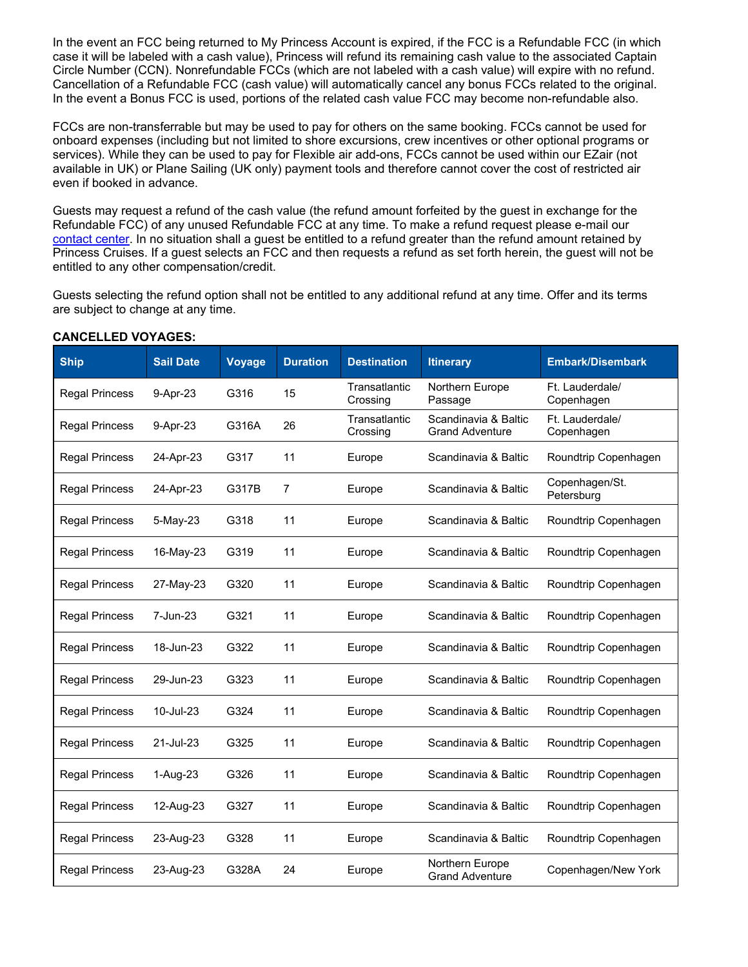In the event an FCC being returned to My Princess Account is expired, if the FCC is a Refundable FCC (in which case it will be labeled with a cash value), Princess will refund its remaining cash value to the associated Captain Circle Number (CCN). Nonrefundable FCCs (which are not labeled with a cash value) will expire with no refund. Cancellation of a Refundable FCC (cash value) will automatically cancel any bonus FCCs related to the original. In the event a Bonus FCC is used, portions of the related cash value FCC may become non-refundable also.

FCCs are non-transferrable but may be used to pay for others on the same booking. FCCs cannot be used for onboard expenses (including but not limited to shore excursions, crew incentives or other optional programs or services). While they can be used to pay for Flexible air add-ons, FCCs cannot be used within our EZair (not available in UK) or Plane Sailing (UK only) payment tools and therefore cannot cover the cost of restricted air even if booked in advance.

Guests may request a refund of the cash value (the refund amount forfeited by the guest in exchange for the Refundable FCC) of any unused Refundable FCC at any time. To make a refund request please e-mail our [contact center](https://book.princess.com/captaincircle/customerCare.page). In no situation shall a guest be entitled to a refund greater than the refund amount retained by Princess Cruises. If a guest selects an FCC and then requests a refund as set forth herein, the guest will not be entitled to any other compensation/credit.

Guests selecting the refund option shall not be entitled to any additional refund at any time. Offer and its terms are subject to change at any time.

| <b>Ship</b>           | <b>Sail Date</b> | <b>Voyage</b> | <b>Duration</b> | <b>Destination</b>        | <b>Itinerary</b>                               | <b>Embark/Disembark</b>       |
|-----------------------|------------------|---------------|-----------------|---------------------------|------------------------------------------------|-------------------------------|
| <b>Regal Princess</b> | 9-Apr-23         | G316          | 15              | Transatlantic<br>Crossing | <b>Northern Europe</b><br>Passage              | Ft. Lauderdale/<br>Copenhagen |
| <b>Regal Princess</b> | 9-Apr-23         | G316A         | 26              | Transatlantic<br>Crossing | Scandinavia & Baltic<br><b>Grand Adventure</b> | Ft. Lauderdale/<br>Copenhagen |
| <b>Regal Princess</b> | 24-Apr-23        | G317          | 11              | Europe                    | Scandinavia & Baltic                           | Roundtrip Copenhagen          |
| <b>Regal Princess</b> | 24-Apr-23        | G317B         | 7               | Europe                    | Scandinavia & Baltic                           | Copenhagen/St.<br>Petersburg  |
| <b>Regal Princess</b> | 5-May-23         | G318          | 11              | Europe                    | Scandinavia & Baltic                           | Roundtrip Copenhagen          |
| <b>Regal Princess</b> | 16-May-23        | G319          | 11              | Europe                    | Scandinavia & Baltic                           | Roundtrip Copenhagen          |
| <b>Regal Princess</b> | 27-May-23        | G320          | 11              | Europe                    | Scandinavia & Baltic                           | Roundtrip Copenhagen          |
| <b>Regal Princess</b> | 7-Jun-23         | G321          | 11              | Europe                    | Scandinavia & Baltic                           | Roundtrip Copenhagen          |
| <b>Regal Princess</b> | 18-Jun-23        | G322          | 11              | Europe                    | Scandinavia & Baltic                           | Roundtrip Copenhagen          |
| <b>Regal Princess</b> | 29-Jun-23        | G323          | 11              | Europe                    | Scandinavia & Baltic                           | Roundtrip Copenhagen          |
| <b>Regal Princess</b> | 10-Jul-23        | G324          | 11              | Europe                    | Scandinavia & Baltic                           | Roundtrip Copenhagen          |
| <b>Regal Princess</b> | 21-Jul-23        | G325          | 11              | Europe                    | Scandinavia & Baltic                           | Roundtrip Copenhagen          |
| <b>Regal Princess</b> | 1-Aug-23         | G326          | 11              | Europe                    | Scandinavia & Baltic                           | Roundtrip Copenhagen          |
| <b>Regal Princess</b> | 12-Aug-23        | G327          | 11              | Europe                    | Scandinavia & Baltic                           | Roundtrip Copenhagen          |
| <b>Regal Princess</b> | 23-Aug-23        | G328          | 11              | Europe                    | Scandinavia & Baltic                           | Roundtrip Copenhagen          |
| <b>Regal Princess</b> | 23-Aug-23        | G328A         | 24              | Europe                    | Northern Europe<br><b>Grand Adventure</b>      | Copenhagen/New York           |

## **CANCELLED VOYAGES:**